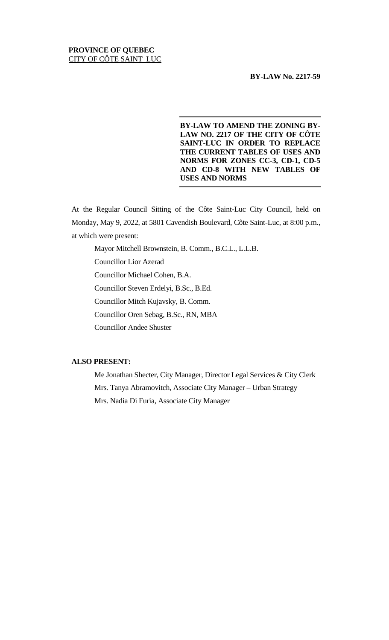## **PROVINCE OF QUEBEC** CITY OF CÔTE SAINT\_LUC

## **BY-LAW No. 2217-59**

**BY-LAW TO AMEND THE ZONING BY-LAW NO. 2217 OF THE CITY OF CÔTE SAINT-LUC IN ORDER TO REPLACE THE CURRENT TABLES OF USES AND NORMS FOR ZONES CC-3, CD-1, CD-5 AND CD-8 WITH NEW TABLES OF USES AND NORMS**

At the Regular Council Sitting of the Côte Saint-Luc City Council, held on Monday, May 9, 2022, at 5801 Cavendish Boulevard, Côte Saint-Luc, at 8:00 p.m., at which were present:

Mayor Mitchell Brownstein, B. Comm., B.C.L., L.L.B.

Councillor Lior Azerad

Councillor Michael Cohen, B.A.

Councillor Steven Erdelyi, B.Sc., B.Ed.

Councillor Mitch Kujavsky, B. Comm.

Councillor Oren Sebag, B.Sc., RN, MBA

Councillor Andee Shuster

## **ALSO PRESENT:**

Me Jonathan Shecter, City Manager, Director Legal Services & City Clerk Mrs. Tanya Abramovitch, Associate City Manager – Urban Strategy Mrs. Nadia Di Furia, Associate City Manager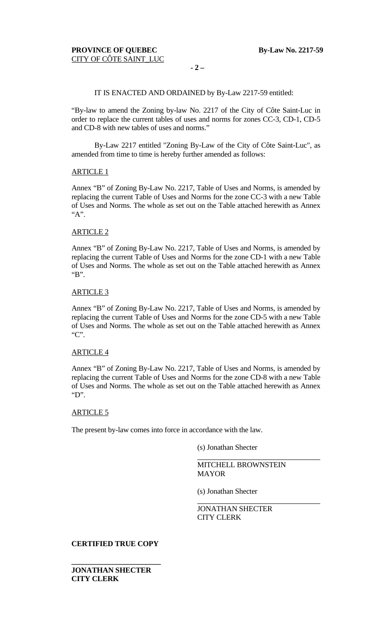## IT IS ENACTED AND ORDAINED by By-Law 2217-59 entitled:

"By-law to amend the Zoning by-law No. 2217 of the City of Côte Saint-Luc in order to replace the current tables of uses and norms for zones CC-3, CD-1, CD-5 and CD-8 with new tables of uses and norms."

By-Law 2217 entitled "Zoning By-Law of the City of Côte Saint-Luc", as amended from time to time is hereby further amended as follows:

## ARTICLE 1

Annex "B" of Zoning By-Law No. 2217, Table of Uses and Norms, is amended by replacing the current Table of Uses and Norms for the zone CC-3 with a new Table of Uses and Norms. The whole as set out on the Table attached herewith as Annex "A".

### ARTICLE 2

Annex "B" of Zoning By-Law No. 2217, Table of Uses and Norms, is amended by replacing the current Table of Uses and Norms for the zone CD-1 with a new Table of Uses and Norms. The whole as set out on the Table attached herewith as Annex "B".

### ARTICLE 3

Annex "B" of Zoning By-Law No. 2217, Table of Uses and Norms, is amended by replacing the current Table of Uses and Norms for the zone CD-5 with a new Table of Uses and Norms. The whole as set out on the Table attached herewith as Annex "C".

## ARTICLE 4

Annex "B" of Zoning By-Law No. 2217, Table of Uses and Norms, is amended by replacing the current Table of Uses and Norms for the zone CD-8 with a new Table of Uses and Norms. The whole as set out on the Table attached herewith as Annex "D".

## ARTICLE 5

The present by-law comes into force in accordance with the law.

(s) Jonathan Shecter

MITCHELL BROWNSTEIN MAYOR

(s) Jonathan Shecter

JONATHAN SHECTER CITY CLERK

## **CERTIFIED TRUE COPY**

**\_\_\_\_\_\_\_\_\_\_\_\_\_\_\_\_\_\_\_\_\_\_\_\_**

**JONATHAN SHECTER CITY CLERK**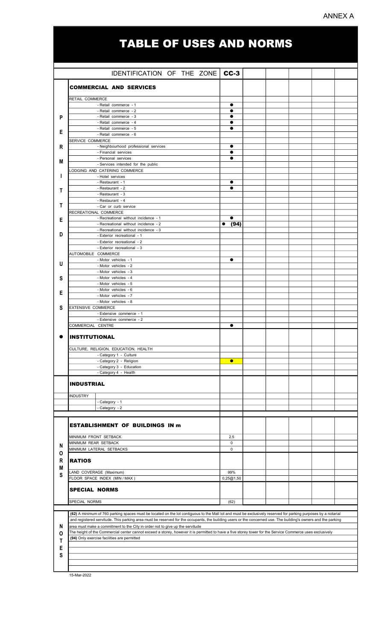# ANNEX A

# TABLE OF USES AND NORMS

|   |                                                                                                                                                                | $CC-3$                     |  |  |  |  |  |  |
|---|----------------------------------------------------------------------------------------------------------------------------------------------------------------|----------------------------|--|--|--|--|--|--|
|   | IDENTIFICATION OF THE ZONE                                                                                                                                     |                            |  |  |  |  |  |  |
|   | <b>COMMERCIAL AND SERVICES</b>                                                                                                                                 |                            |  |  |  |  |  |  |
|   |                                                                                                                                                                |                            |  |  |  |  |  |  |
|   | RETAIL COMMERCE                                                                                                                                                |                            |  |  |  |  |  |  |
|   | - Retail commerce - 1<br>- Retail commerce - 2                                                                                                                 |                            |  |  |  |  |  |  |
| P | - Retail commerce - 3                                                                                                                                          |                            |  |  |  |  |  |  |
|   | - Retail commerce - 4                                                                                                                                          | $\bullet$                  |  |  |  |  |  |  |
| Е | - Retail commerce - 5                                                                                                                                          | $\bullet$                  |  |  |  |  |  |  |
|   | - Retail commerce - 6                                                                                                                                          |                            |  |  |  |  |  |  |
| R | SERVICE COMMERCE<br>- Neighbourhood professional services                                                                                                      | $\bullet$                  |  |  |  |  |  |  |
|   | - Financial services                                                                                                                                           | $\bullet$                  |  |  |  |  |  |  |
| M | - Personal services                                                                                                                                            |                            |  |  |  |  |  |  |
|   | - Services intended for the public                                                                                                                             |                            |  |  |  |  |  |  |
|   | ODGING AND CATERING COMMERCE                                                                                                                                   |                            |  |  |  |  |  |  |
|   | - Hotel services<br>- Restaurant - 1                                                                                                                           | $\bullet$                  |  |  |  |  |  |  |
|   | - Restaurant - 2                                                                                                                                               | e                          |  |  |  |  |  |  |
| Т | - Restaurant - 3                                                                                                                                               |                            |  |  |  |  |  |  |
|   | - Restaurant - 4                                                                                                                                               |                            |  |  |  |  |  |  |
| Т | - Car or curb service                                                                                                                                          |                            |  |  |  |  |  |  |
|   | RECREATIONAL COMMERCE<br>- Recreational without incidence - 1                                                                                                  | $\bullet$                  |  |  |  |  |  |  |
| Е | - Recreational without incidence - 2                                                                                                                           | (94)                       |  |  |  |  |  |  |
|   | - Recreational without incidence - 3                                                                                                                           |                            |  |  |  |  |  |  |
| D | - Exterior recreational - 1                                                                                                                                    |                            |  |  |  |  |  |  |
|   | - Exterior recreational - 2                                                                                                                                    |                            |  |  |  |  |  |  |
|   | - Exterior recreational - 3<br>AUTOMOBILE COMMERCE                                                                                                             |                            |  |  |  |  |  |  |
|   | - Motor vehicles - 1                                                                                                                                           | $\bullet$                  |  |  |  |  |  |  |
| U | - Motor vehicles - 2                                                                                                                                           |                            |  |  |  |  |  |  |
|   | - Motor vehicles - 3                                                                                                                                           |                            |  |  |  |  |  |  |
| S | - Motor vehicles - 4                                                                                                                                           |                            |  |  |  |  |  |  |
|   | - Motor vehicles - 5<br>- Motor vehicles - 6                                                                                                                   |                            |  |  |  |  |  |  |
| Е | - Motor vehicles - 7                                                                                                                                           |                            |  |  |  |  |  |  |
|   | - Motor vehicles - 8                                                                                                                                           |                            |  |  |  |  |  |  |
| S | <b>EXTENSIVE COMMERCE</b>                                                                                                                                      |                            |  |  |  |  |  |  |
|   | - Extensive commerce - 1                                                                                                                                       |                            |  |  |  |  |  |  |
|   | - Extensive commerce - 2<br>COMMERCIAL CENTRE                                                                                                                  | $\bullet$                  |  |  |  |  |  |  |
|   |                                                                                                                                                                |                            |  |  |  |  |  |  |
|   | <b>INSTITUTIONAL</b>                                                                                                                                           |                            |  |  |  |  |  |  |
|   |                                                                                                                                                                |                            |  |  |  |  |  |  |
|   | CULTURE, RELIGION, EDUCATION, HEALTH<br>- Category 1 - Culture                                                                                                 |                            |  |  |  |  |  |  |
|   | - Category 2 - Religion                                                                                                                                        | $\bullet$                  |  |  |  |  |  |  |
|   | - Category 3 - Education                                                                                                                                       |                            |  |  |  |  |  |  |
|   | - Category 4 - Health                                                                                                                                          |                            |  |  |  |  |  |  |
|   | <b>INDUSTRIAL</b>                                                                                                                                              |                            |  |  |  |  |  |  |
|   |                                                                                                                                                                |                            |  |  |  |  |  |  |
|   | <b>INDUSTRY</b>                                                                                                                                                |                            |  |  |  |  |  |  |
|   | - Category - 1                                                                                                                                                 |                            |  |  |  |  |  |  |
|   | - Category - 2                                                                                                                                                 |                            |  |  |  |  |  |  |
|   |                                                                                                                                                                |                            |  |  |  |  |  |  |
|   | <b>ESTABLISHMENT OF BUILDINGS IN m</b>                                                                                                                         |                            |  |  |  |  |  |  |
|   |                                                                                                                                                                |                            |  |  |  |  |  |  |
|   | MINIMUM FRONT SETBACK                                                                                                                                          | 2.5                        |  |  |  |  |  |  |
| N | MINIMUM REAR SETBACK<br>MINIMUM LATERAL SETBACKS                                                                                                               | $\mathbf 0$<br>$\mathbf 0$ |  |  |  |  |  |  |
| O |                                                                                                                                                                |                            |  |  |  |  |  |  |
| R | <b>RATIOS</b>                                                                                                                                                  |                            |  |  |  |  |  |  |
| M |                                                                                                                                                                |                            |  |  |  |  |  |  |
| S | LAND COVERAGE (Maximum)                                                                                                                                        | 99%                        |  |  |  |  |  |  |
|   | FLOOR SPACE INDEX (MIN / MAX )                                                                                                                                 | 0,25@1,50                  |  |  |  |  |  |  |
|   | <b>SPECIAL NORMS</b>                                                                                                                                           |                            |  |  |  |  |  |  |
|   |                                                                                                                                                                |                            |  |  |  |  |  |  |
|   | SPECIAL NORMS                                                                                                                                                  | (62)                       |  |  |  |  |  |  |
|   | (62) A minimum of 760 parking spaces must be located on the lot contiguous to the Mall lot and must be exclusively reserved for parking purposes by a notarial |                            |  |  |  |  |  |  |
|   | and registered servitude. This parking area must be reserved for the occupants, the building users or the concerned use. The building's owners and the parking |                            |  |  |  |  |  |  |
| N | area must make a commitment to the City in order not to give up the servitude                                                                                  |                            |  |  |  |  |  |  |
| 0 | The height of the Commercial center cannot exceed a storey, however it is permitted to have a five storey tower for the Service Commerce uses exclusively      |                            |  |  |  |  |  |  |
| Τ | (94) Only exercise facilities are permitted                                                                                                                    |                            |  |  |  |  |  |  |
| Е |                                                                                                                                                                |                            |  |  |  |  |  |  |
| S |                                                                                                                                                                |                            |  |  |  |  |  |  |
|   |                                                                                                                                                                |                            |  |  |  |  |  |  |
|   |                                                                                                                                                                |                            |  |  |  |  |  |  |

15-Mar-2022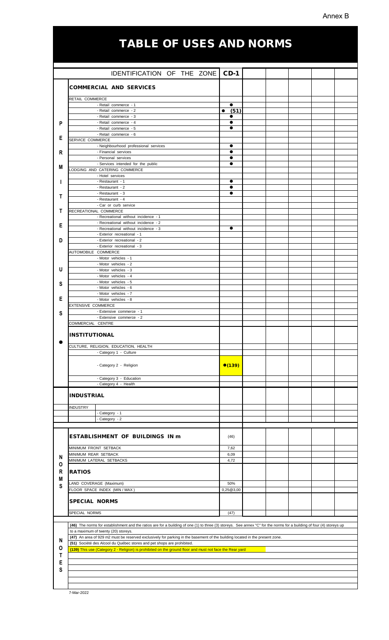## Annex B

# TABLE OF USES AND NORMS

|   | IDENTIFICATION OF THE ZONE                                                                                                                                                         | $CD-1$       |  |  |  |  |  |
|---|------------------------------------------------------------------------------------------------------------------------------------------------------------------------------------|--------------|--|--|--|--|--|
|   |                                                                                                                                                                                    |              |  |  |  |  |  |
|   | <b>COMMERCIAL AND SERVICES</b>                                                                                                                                                     |              |  |  |  |  |  |
|   | RETAIL COMMERCE                                                                                                                                                                    |              |  |  |  |  |  |
|   | - Retail commerce - 1                                                                                                                                                              | $\bullet$    |  |  |  |  |  |
|   | - Retail commerce - 2                                                                                                                                                              | (51)<br>●    |  |  |  |  |  |
| P | - Retail commerce - 3<br>- Retail commerce - 4                                                                                                                                     | $\bullet$    |  |  |  |  |  |
|   | - Retail commerce - 5                                                                                                                                                              | $\bullet$    |  |  |  |  |  |
| Е | - Retail commerce - 6                                                                                                                                                              |              |  |  |  |  |  |
|   | SERVICE COMMERCE<br>- Neighbourhood professional services                                                                                                                          | $\bullet$    |  |  |  |  |  |
| R | - Financial services                                                                                                                                                               | $\bullet$    |  |  |  |  |  |
|   | - Personal services                                                                                                                                                                | $\bullet$    |  |  |  |  |  |
| M | - Services intended for the public<br>LODGING AND CATERING COMMERCE                                                                                                                |              |  |  |  |  |  |
|   | - Hotel services                                                                                                                                                                   |              |  |  |  |  |  |
|   | - Restaurant - 1<br>- Restaurant - 2                                                                                                                                               |              |  |  |  |  |  |
|   | - Restaurant - 3                                                                                                                                                                   | $\bullet$    |  |  |  |  |  |
| Т | - Restaurant - 4                                                                                                                                                                   |              |  |  |  |  |  |
| т | - Car or curb service<br>RECREATIONAL COMMERCE                                                                                                                                     |              |  |  |  |  |  |
|   | - Recreational without incidence - 1                                                                                                                                               |              |  |  |  |  |  |
| Е | - Recreational without incidence - 2                                                                                                                                               |              |  |  |  |  |  |
|   | - Recreational without incidence - 3<br>- Exterior recreational - 1                                                                                                                | $\bullet$    |  |  |  |  |  |
| D | - Exterior recreational - 2                                                                                                                                                        |              |  |  |  |  |  |
|   | - Exterior recreational - 3                                                                                                                                                        |              |  |  |  |  |  |
|   | AUTOMOBILE COMMERCE<br>- Motor vehicles - 1                                                                                                                                        |              |  |  |  |  |  |
|   | - Motor vehicles - 2                                                                                                                                                               |              |  |  |  |  |  |
| U | - Motor vehicles - 3<br>- Motor vehicles - 4                                                                                                                                       |              |  |  |  |  |  |
|   | - Motor vehicles - 5                                                                                                                                                               |              |  |  |  |  |  |
| S | - Motor vehicles - 6                                                                                                                                                               |              |  |  |  |  |  |
| E | - Motor vehicles - 7<br>- Motor vehicles - 8                                                                                                                                       |              |  |  |  |  |  |
|   | EXTENSIVE COMMERCE                                                                                                                                                                 |              |  |  |  |  |  |
| S | - Extensive commerce - 1                                                                                                                                                           |              |  |  |  |  |  |
|   | - Extensive commerce - 2<br>COMMERCIAL CENTRE                                                                                                                                      |              |  |  |  |  |  |
|   |                                                                                                                                                                                    |              |  |  |  |  |  |
|   | <b>INSTITUTIONAL</b>                                                                                                                                                               |              |  |  |  |  |  |
|   | CULTURE, RELIGION, EDUCATION, HEALTH                                                                                                                                               |              |  |  |  |  |  |
|   | - Category 1 - Culture                                                                                                                                                             |              |  |  |  |  |  |
|   |                                                                                                                                                                                    |              |  |  |  |  |  |
|   | - Category 2 - Religion                                                                                                                                                            | •(139)       |  |  |  |  |  |
|   | - Category 3 - Education                                                                                                                                                           |              |  |  |  |  |  |
|   | - Category 4 - Health                                                                                                                                                              |              |  |  |  |  |  |
|   | INDUSTRIAL                                                                                                                                                                         |              |  |  |  |  |  |
|   |                                                                                                                                                                                    |              |  |  |  |  |  |
|   | <b>INDUSTRY</b>                                                                                                                                                                    |              |  |  |  |  |  |
|   | - Category - 1<br>- Category - 2                                                                                                                                                   |              |  |  |  |  |  |
|   |                                                                                                                                                                                    |              |  |  |  |  |  |
|   | ESTABLISHMENT OF BUILDINGS IN m                                                                                                                                                    | (46)         |  |  |  |  |  |
|   |                                                                                                                                                                                    |              |  |  |  |  |  |
|   | MINIMUM FRONT SETBACK                                                                                                                                                              | 7,62         |  |  |  |  |  |
| N | MINIMUM REAR SETBACK<br>MINIMUM LATERAL SETBACKS                                                                                                                                   | 6,09<br>4,72 |  |  |  |  |  |
| 0 |                                                                                                                                                                                    |              |  |  |  |  |  |
| R | <b>RATIOS</b>                                                                                                                                                                      |              |  |  |  |  |  |
| M | LAND COVERAGE (Maximum)                                                                                                                                                            | 50%          |  |  |  |  |  |
| S | FLOOR SPACE INDEX (MIN / MAX )                                                                                                                                                     | 0,25@3,00    |  |  |  |  |  |
|   | <b>SPECIAL NORMS</b>                                                                                                                                                               |              |  |  |  |  |  |
|   |                                                                                                                                                                                    |              |  |  |  |  |  |
|   | SPECIAL NORMS                                                                                                                                                                      | (47)         |  |  |  |  |  |
|   | (46) The norms for establishment and the ratios are for a building of one (1) to three (3) storeys. See annex "C" for the norms for a building of four (4) storeys up              |              |  |  |  |  |  |
|   | to a maximum of twenty (20) storeys.                                                                                                                                               |              |  |  |  |  |  |
| N | (47) An area of 929 m2 must be reserved exclusively for parking in the basement of the building located in the present zone.                                                       |              |  |  |  |  |  |
| O | (51) Société des Alcool du Québec stores and pet shops are prohibited.<br>(139) This use (Category 2 - Religion) is prohibited on the ground floor and must not face the Rear yard |              |  |  |  |  |  |
| Т |                                                                                                                                                                                    |              |  |  |  |  |  |
| E |                                                                                                                                                                                    |              |  |  |  |  |  |
| S |                                                                                                                                                                                    |              |  |  |  |  |  |
|   |                                                                                                                                                                                    |              |  |  |  |  |  |
|   |                                                                                                                                                                                    |              |  |  |  |  |  |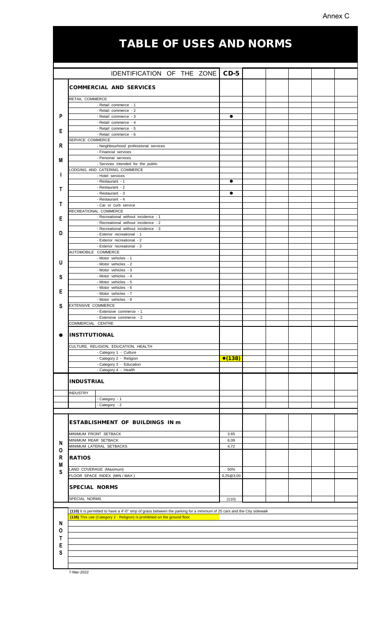# Annex C

# TABLE OF USES AND NORMS

|             | IDENTIFICATION OF THE ZONE                                                                                              | $CD-5$    |  |  |  |  |  |
|-------------|-------------------------------------------------------------------------------------------------------------------------|-----------|--|--|--|--|--|
|             | <b>COMMERCIAL AND SERVICES</b>                                                                                          |           |  |  |  |  |  |
|             |                                                                                                                         |           |  |  |  |  |  |
|             | RETAIL COMMERCE                                                                                                         |           |  |  |  |  |  |
|             | - Retail commerce - 1<br>- Retail commerce - 2                                                                          |           |  |  |  |  |  |
| P           | - Retail commerce - 3                                                                                                   | $\bullet$ |  |  |  |  |  |
|             | - Retail commerce - 4                                                                                                   |           |  |  |  |  |  |
| Е           | - Retail commerce - 5<br>- Retail commerce - 6                                                                          |           |  |  |  |  |  |
|             | SERVICE COMMERCE                                                                                                        |           |  |  |  |  |  |
| R           | - Neighbourhood professional services                                                                                   |           |  |  |  |  |  |
|             | - Financial services<br>- Personal services                                                                             |           |  |  |  |  |  |
| М           | - Services intended for the public                                                                                      |           |  |  |  |  |  |
|             | LODGING AND CATERING COMMERCE                                                                                           |           |  |  |  |  |  |
|             | - Hotel services<br>- Restaurant - 1                                                                                    | $\bullet$ |  |  |  |  |  |
|             | - Restaurant - 2                                                                                                        |           |  |  |  |  |  |
| т           | - Restaurant - 3                                                                                                        | $\bullet$ |  |  |  |  |  |
| т           | - Restaurant - 4                                                                                                        |           |  |  |  |  |  |
|             | - Car or curb service<br>RECREATIONAL COMMERCE                                                                          |           |  |  |  |  |  |
| Е           | - Recreational without incidence - 1                                                                                    |           |  |  |  |  |  |
|             | - Recreational without incidence - 2                                                                                    |           |  |  |  |  |  |
| D           | - Recreational without incidence - 3                                                                                    |           |  |  |  |  |  |
|             | - Exterior recreational - 1<br>- Exterior recreational - 2                                                              |           |  |  |  |  |  |
|             | - Exterior recreational - 3                                                                                             |           |  |  |  |  |  |
|             | AUTOMOBILE COMMERCE                                                                                                     |           |  |  |  |  |  |
| U           | - Motor vehicles - 1<br>- Motor vehicles - 2                                                                            |           |  |  |  |  |  |
|             | - Motor vehicles - 3                                                                                                    |           |  |  |  |  |  |
| S           | - Motor vehicles - 4                                                                                                    |           |  |  |  |  |  |
|             | - Motor vehicles - 5                                                                                                    |           |  |  |  |  |  |
| Е           | - Motor vehicles - 6<br>- Motor vehicles - 7                                                                            |           |  |  |  |  |  |
|             | - Motor vehicles - 8                                                                                                    |           |  |  |  |  |  |
| S           | <b>EXTENSIVE COMMERCE</b>                                                                                               |           |  |  |  |  |  |
|             | - Extensive commerce - 1                                                                                                |           |  |  |  |  |  |
|             | - Extensive commerce - 2<br>COMMERCIAL CENTRE                                                                           |           |  |  |  |  |  |
|             |                                                                                                                         |           |  |  |  |  |  |
|             |                                                                                                                         |           |  |  |  |  |  |
|             | <b>INSTITUTIONAL</b>                                                                                                    |           |  |  |  |  |  |
|             |                                                                                                                         |           |  |  |  |  |  |
|             | CULTURE, RELIGION, EDUCATION, HEALTH<br>- Category 1 - Culture                                                          |           |  |  |  |  |  |
|             | - Category 2 - Religion                                                                                                 | •(138)    |  |  |  |  |  |
|             | - Category 3 - Education                                                                                                |           |  |  |  |  |  |
|             | - Category 4 - Health                                                                                                   |           |  |  |  |  |  |
|             | <b>INDUSTRIAL</b>                                                                                                       |           |  |  |  |  |  |
|             |                                                                                                                         |           |  |  |  |  |  |
|             | <b>INDUSTRY</b>                                                                                                         |           |  |  |  |  |  |
|             | - Category - 1<br>- Category - 2                                                                                        |           |  |  |  |  |  |
|             |                                                                                                                         |           |  |  |  |  |  |
|             |                                                                                                                         |           |  |  |  |  |  |
|             | <b>ESTABLISHMENT OF BUILDINGS IN m</b>                                                                                  |           |  |  |  |  |  |
|             | MINIMUM FRONT SETBACK                                                                                                   | 3.65      |  |  |  |  |  |
| N           | MINIMUM REAR SETBACK                                                                                                    | 6,09      |  |  |  |  |  |
| O           | MINIMUM LATERAL SETBACKS                                                                                                | 4,72      |  |  |  |  |  |
| $\mathsf R$ | <b>RATIOS</b>                                                                                                           |           |  |  |  |  |  |
| M           |                                                                                                                         |           |  |  |  |  |  |
| $\mathbf s$ | LAND COVERAGE (Maximum)                                                                                                 | 50%       |  |  |  |  |  |
|             | FLOOR SPACE INDEX (MIN / MAX )                                                                                          | 0,25@3,00 |  |  |  |  |  |
|             | <b>SPECIAL NORMS</b>                                                                                                    |           |  |  |  |  |  |
|             |                                                                                                                         |           |  |  |  |  |  |
|             | SPECIAL NORMS                                                                                                           | (110)     |  |  |  |  |  |
|             | (110) It is permitted to have a 4'-0" strip of grass between the parking for a minimum of 25 cars and the Ctiy sidewalk |           |  |  |  |  |  |
|             | (138) This use (Category 2 - Religion) is prohibited on the ground floor                                                |           |  |  |  |  |  |
| N           |                                                                                                                         |           |  |  |  |  |  |
| 0           |                                                                                                                         |           |  |  |  |  |  |
| т           |                                                                                                                         |           |  |  |  |  |  |
| Е           |                                                                                                                         |           |  |  |  |  |  |
| S           |                                                                                                                         |           |  |  |  |  |  |
|             |                                                                                                                         |           |  |  |  |  |  |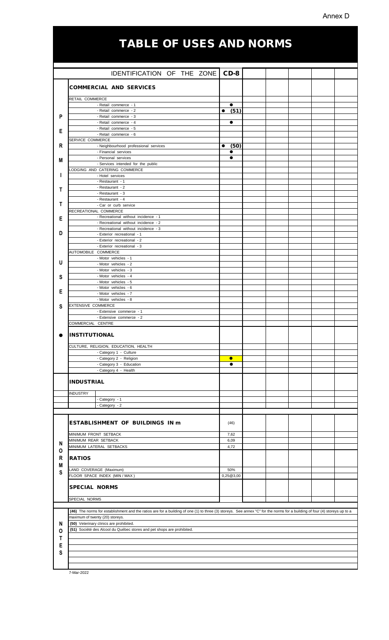# Annex D

# TABLE OF USES AND NORMS

|                                                                                                                                                                            | IDENTIFICATION OF THE ZONE                                             | $CD-8$                 |  |  |  |  |  |  |
|----------------------------------------------------------------------------------------------------------------------------------------------------------------------------|------------------------------------------------------------------------|------------------------|--|--|--|--|--|--|
|                                                                                                                                                                            | <b>COMMERCIAL AND SERVICES</b>                                         |                        |  |  |  |  |  |  |
|                                                                                                                                                                            |                                                                        |                        |  |  |  |  |  |  |
|                                                                                                                                                                            | RETAIL COMMERCE                                                        |                        |  |  |  |  |  |  |
|                                                                                                                                                                            | - Retail commerce - 1                                                  | $\bullet$              |  |  |  |  |  |  |
| P                                                                                                                                                                          | - Retail commerce - 2<br>- Retail commerce - 3                         | (51)<br>$\bullet$      |  |  |  |  |  |  |
|                                                                                                                                                                            | - Retail commerce - 4                                                  | $\bullet$              |  |  |  |  |  |  |
| Е                                                                                                                                                                          | - Retail commerce - 5                                                  |                        |  |  |  |  |  |  |
|                                                                                                                                                                            | - Retail commerce - 6                                                  |                        |  |  |  |  |  |  |
| R                                                                                                                                                                          | SERVICE COMMERCE<br>- Neighbourhood professional services              |                        |  |  |  |  |  |  |
|                                                                                                                                                                            | - Financial services                                                   | (50)                   |  |  |  |  |  |  |
| М                                                                                                                                                                          | - Personal services                                                    | e                      |  |  |  |  |  |  |
|                                                                                                                                                                            | - Services intended for the public                                     |                        |  |  |  |  |  |  |
|                                                                                                                                                                            | ODGING AND CATERING COMMERCE                                           |                        |  |  |  |  |  |  |
|                                                                                                                                                                            | - Hotel services<br>- Restaurant - 1                                   |                        |  |  |  |  |  |  |
|                                                                                                                                                                            | - Restaurant - 2                                                       |                        |  |  |  |  |  |  |
| Т                                                                                                                                                                          | - Restaurant - 3                                                       |                        |  |  |  |  |  |  |
|                                                                                                                                                                            | - Restaurant - 4                                                       |                        |  |  |  |  |  |  |
| т                                                                                                                                                                          | - Car or curb service                                                  |                        |  |  |  |  |  |  |
|                                                                                                                                                                            | RECREATIONAL COMMERCE<br>- Recreational without incidence - 1          |                        |  |  |  |  |  |  |
| Е                                                                                                                                                                          | - Recreational without incidence - 2                                   |                        |  |  |  |  |  |  |
|                                                                                                                                                                            | - Recreational without incidence - 3                                   |                        |  |  |  |  |  |  |
| D                                                                                                                                                                          | - Exterior recreational - 1<br>- Exterior recreational - 2             |                        |  |  |  |  |  |  |
|                                                                                                                                                                            | - Exterior recreational - 3                                            |                        |  |  |  |  |  |  |
|                                                                                                                                                                            | AUTOMOBILE COMMERCE                                                    |                        |  |  |  |  |  |  |
|                                                                                                                                                                            | - Motor vehicles - 1                                                   |                        |  |  |  |  |  |  |
| U                                                                                                                                                                          | - Motor vehicles - 2                                                   |                        |  |  |  |  |  |  |
|                                                                                                                                                                            | - Motor vehicles - 3<br>- Motor vehicles - 4                           |                        |  |  |  |  |  |  |
| S                                                                                                                                                                          | - Motor vehicles - 5                                                   |                        |  |  |  |  |  |  |
|                                                                                                                                                                            | - Motor vehicles - 6                                                   |                        |  |  |  |  |  |  |
| Е                                                                                                                                                                          | - Motor vehicles - 7                                                   |                        |  |  |  |  |  |  |
|                                                                                                                                                                            | - Motor vehicles - 8<br><b>EXTENSIVE COMMERCE</b>                      |                        |  |  |  |  |  |  |
| S                                                                                                                                                                          | - Extensive commerce - 1                                               |                        |  |  |  |  |  |  |
|                                                                                                                                                                            | - Extensive commerce - 2                                               |                        |  |  |  |  |  |  |
|                                                                                                                                                                            | COMMERCIAL CENTRE                                                      |                        |  |  |  |  |  |  |
|                                                                                                                                                                            | <b>INSTITUTIONAL</b>                                                   |                        |  |  |  |  |  |  |
|                                                                                                                                                                            |                                                                        |                        |  |  |  |  |  |  |
|                                                                                                                                                                            | CULTURE, RELIGION, EDUCATION, HEALTH                                   |                        |  |  |  |  |  |  |
|                                                                                                                                                                            | - Category 1 - Culture                                                 |                        |  |  |  |  |  |  |
|                                                                                                                                                                            | - Category 2 - Religion<br>- Category 3 - Education                    | $\bullet$<br>$\bullet$ |  |  |  |  |  |  |
|                                                                                                                                                                            | - Category 4 - Health                                                  |                        |  |  |  |  |  |  |
|                                                                                                                                                                            |                                                                        |                        |  |  |  |  |  |  |
|                                                                                                                                                                            | <b>INDUSTRIAL</b>                                                      |                        |  |  |  |  |  |  |
|                                                                                                                                                                            |                                                                        |                        |  |  |  |  |  |  |
|                                                                                                                                                                            | <b>INDUSTRY</b><br>- Category - 1                                      |                        |  |  |  |  |  |  |
|                                                                                                                                                                            | - Category - 2                                                         |                        |  |  |  |  |  |  |
|                                                                                                                                                                            |                                                                        |                        |  |  |  |  |  |  |
|                                                                                                                                                                            | <b>ESTABLISHMENT OF BUILDINGS IN m</b>                                 | (46)                   |  |  |  |  |  |  |
|                                                                                                                                                                            |                                                                        |                        |  |  |  |  |  |  |
|                                                                                                                                                                            | MINIMUM FRONT SETBACK                                                  | 7,62                   |  |  |  |  |  |  |
| N                                                                                                                                                                          | MINIMUM REAR SETBACK                                                   | 6,09                   |  |  |  |  |  |  |
| 0                                                                                                                                                                          | MINIMUM LATERAL SETBACKS                                               | 4,72                   |  |  |  |  |  |  |
| R                                                                                                                                                                          | <b>RATIOS</b>                                                          |                        |  |  |  |  |  |  |
| Μ                                                                                                                                                                          |                                                                        |                        |  |  |  |  |  |  |
| S                                                                                                                                                                          | LAND COVERAGE (Maximum)                                                | 50%                    |  |  |  |  |  |  |
|                                                                                                                                                                            | FLOOR SPACE INDEX (MIN / MAX )                                         | 0,25@3,00              |  |  |  |  |  |  |
|                                                                                                                                                                            | <b>SPECIAL NORMS</b>                                                   |                        |  |  |  |  |  |  |
|                                                                                                                                                                            |                                                                        |                        |  |  |  |  |  |  |
|                                                                                                                                                                            | SPECIAL NORMS                                                          |                        |  |  |  |  |  |  |
| (46) The norms for establishment and the ratios are for a building of one (1) to three (3) storeys. See annex "C" for the norms for a building of four (4) storeys up to a |                                                                        |                        |  |  |  |  |  |  |
|                                                                                                                                                                            | maximum of twenty (20) storeys.                                        |                        |  |  |  |  |  |  |
| N                                                                                                                                                                          | (50) Veterinary clinics are prohibited.                                |                        |  |  |  |  |  |  |
| 0                                                                                                                                                                          | (51) Société des Alcool du Québec stores and pet shops are prohibited. |                        |  |  |  |  |  |  |
| т                                                                                                                                                                          |                                                                        |                        |  |  |  |  |  |  |
| E                                                                                                                                                                          |                                                                        |                        |  |  |  |  |  |  |
| S                                                                                                                                                                          |                                                                        |                        |  |  |  |  |  |  |
|                                                                                                                                                                            |                                                                        |                        |  |  |  |  |  |  |
|                                                                                                                                                                            |                                                                        |                        |  |  |  |  |  |  |

7-Mar-2022